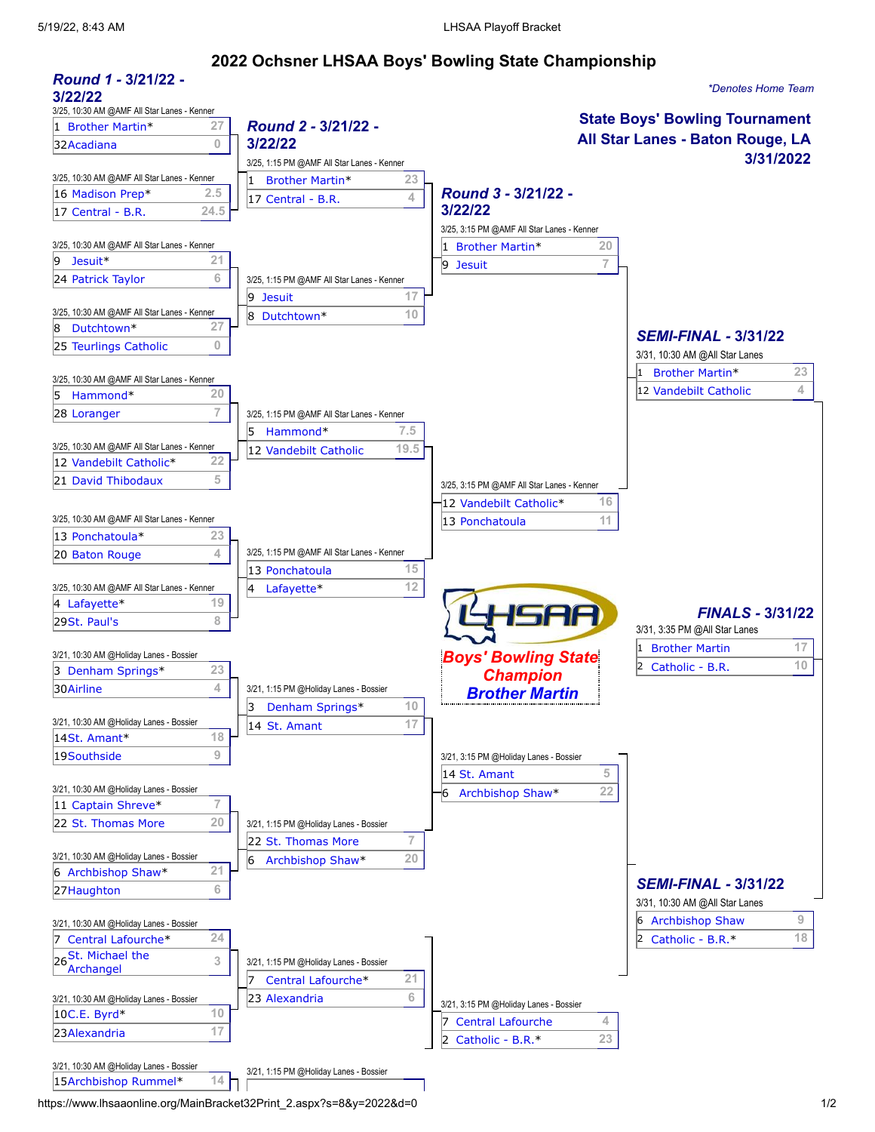14St. [Amant](https://www.lhsaaonline.org/RptSpSchLHSAA.aspx?spid=8&sid=858)\* **18**

## 5/19/22, 8:43 AM LHSAA Playoff Bracket **2022 Ochsner LHSAA Boys' Bowling State Championship** *Round 1 -* **3/21/22 -** *\*Denotes Home Team* **3/22/22** 3/25, 10:30 AM @AMF All Star Lanes - Kenner **State Boys' Bowling Tournament** *Round 2 -* **3/21/22 -** 1 [Brother](https://www.lhsaaonline.org/RptSpSchLHSAA.aspx?spid=8&sid=576) Martin\* **27 All Star Lanes - Baton Rouge, LA** 32[Acadiana](https://www.lhsaaonline.org/RptSpSchLHSAA.aspx?spid=8&sid=923) **0 3/22/22 3/31/2022** 3/25, 1:15 PM @AMF All Star Lanes - Kenner 3/25, 10:30 AM @AMF All Star Lanes - Kenner 1 [Brother](https://www.lhsaaonline.org/RptSpSchLHSAA.aspx?spid=8&sid=576) Martin\* **23** *Round 3 -* **3/21/22 -** 16 [Madison](https://www.lhsaaonline.org/RptSpSchLHSAA.aspx?spid=8&sid=949) Prep\* **2.5** 17 [Central](https://www.lhsaaonline.org/RptSpSchLHSAA.aspx?spid=8&sid=598) - B.R. **4 3/22/22** 17 [Central](https://www.lhsaaonline.org/RptSpSchLHSAA.aspx?spid=8&sid=598) - B.R. **24.5** 3/25, 3:15 PM @AMF All Star Lanes - Kenner 3/25, 10:30 AM @AMF All Star Lanes - Kenner 1 [Brother](https://www.lhsaaonline.org/RptSpSchLHSAA.aspx?spid=8&sid=576) Martin\* **20** 9 [Jesuit](https://www.lhsaaonline.org/RptSpSchLHSAA.aspx?spid=8&sid=712)\* **21** 9 [Jesuit](https://www.lhsaaonline.org/RptSpSchLHSAA.aspx?spid=8&sid=712) **7** 24 [Patrick](https://www.lhsaaonline.org/RptSpSchLHSAA.aspx?spid=8&sid=798) Taylor **6 6** 3/25, 1:15 PM @AMF All Star Lanes - Kenner 9 [Jesuit](https://www.lhsaaonline.org/RptSpSchLHSAA.aspx?spid=8&sid=712) **17** 3/25, 10:30 AM @AMF All Star Lanes - Kenner 8 Dutchtown \* 10<br>8 Dutchtown \* 27 8 Dutchtown \* 8 [Dutchtown\\*](https://www.lhsaaonline.org/RptSpSchLHSAA.aspx?spid=8&sid=631) **27** *SEMI-FINAL -* **3/31/22** 25 [Teurlings](https://www.lhsaaonline.org/RptSpSchLHSAA.aspx?spid=8&sid=886) Catholic **0** 3/31, 10:30 AM @All Star Lanes 1 [Brother](https://www.lhsaaonline.org/RptSpSchLHSAA.aspx?spid=8&sid=576) Martin\* **23** 3/25, 10:30 AM @AMF All Star Lanes - Kenner 12 [Vandebilt](https://www.lhsaaonline.org/RptSpSchLHSAA.aspx?spid=8&sid=891) Catholic **4** 5 [Hammond](https://www.lhsaaonline.org/RptSpSchLHSAA.aspx?spid=8&sid=684)\* **20 28 [Loranger](https://www.lhsaaonline.org/RptSpSchLHSAA.aspx?spid=8&sid=740) 7 | 3/25, 1:15 PM @AMF All Star Lanes - Kenner** 5 [Hammond](https://www.lhsaaonline.org/RptSpSchLHSAA.aspx?spid=8&sid=684)\* **7.5** 3/25, 10:30 AM @AMF All Star Lanes - Kenner<br>12 [Vandebilt](https://www.lhsaaonline.org/RptSpSchLHSAA.aspx?spid=8&sid=891) Catholic\* 22 12 Vandebilt Catholic 19.5 12 [Vandebilt](https://www.lhsaaonline.org/RptSpSchLHSAA.aspx?spid=8&sid=891) Catholic\* **22 21 David [Thibodaux](https://www.lhsaaonline.org/RptSpSchLHSAA.aspx?spid=8&sid=960) 5** 5 3/25, 3:15 PM @AMF All Star Lanes - Kenner 12 [Vandebilt](https://www.lhsaaonline.org/RptSpSchLHSAA.aspx?spid=8&sid=891) Catholic\* **16** 3/25, 10:30 AM @AMF All Star Lanes - Kenner **13 13 [Ponchatoula](https://www.lhsaaonline.org/RptSpSchLHSAA.aspx?spid=8&sid=814)** 13 Ponchatoula 11 13 [Ponchatoula\\*](https://www.lhsaaonline.org/RptSpSchLHSAA.aspx?spid=8&sid=814) **23** 20 Baton [Rouge](https://www.lhsaaonline.org/RptSpSchLHSAA.aspx?spid=8&sid=554) 4 3/25, 1:15 PM @AMF All Star Lanes - Kenner 13 [Ponchatoula](https://www.lhsaaonline.org/RptSpSchLHSAA.aspx?spid=8&sid=814) **15**  $3/25$ , 10:30 AM @AMF All Star Lanes - Kenner  $4$  Lafayette<sup>\*</sup> 12 4 [Lafayette\\*](https://www.lhsaaonline.org/RptSpSchLHSAA.aspx?spid=8&sid=729) **19** ISAA *FINALS -* **3/31/22** 29St. [Paul's](https://www.lhsaaonline.org/RptSpSchLHSAA.aspx?spid=8&sid=874) **8** 3/31, 3:35 PM @All Star Lanes 1 [Brother](https://www.lhsaaonline.org/RptSpSchLHSAA.aspx?spid=8&sid=576) Martin **17** *Boys' Bowling State* 3/21, 10:30 AM @Holiday Lanes - Bossier 2 [Catholic](https://www.lhsaaonline.org/RptSpSchLHSAA.aspx?spid=8&sid=594) - B.R. **10** 3 [Denham Springs\\*](https://www.lhsaaonline.org/RptSpSchLHSAA.aspx?spid=8&sid=618) **23** *Champion* **30 [Airline](https://www.lhsaaonline.org/RptSpSchLHSAA.aspx?spid=8&sid=530) 4 4** 3/21, 1:15 PM @Holiday Lanes - Bossier *[Brother Martin](https://www.lhsaaonline.org/RptSpSchLHSAA.aspx?spid=8&sid=576)* 3 [Denham Springs](https://www.lhsaaonline.org/RptSpSchLHSAA.aspx?spid=8&sid=618)\* **10** 3/21, 10:30 AM @Holiday Lanes - Bossier 18 14 St. [Amant](https://www.lhsaaonline.org/RptSpSchLHSAA.aspx?spid=8&sid=858) 17 17

|                                         |                 |                                        |    | 14 St. Amant                           | 5  |                                |    |
|-----------------------------------------|-----------------|----------------------------------------|----|----------------------------------------|----|--------------------------------|----|
| 3/21, 10:30 AM @Holiday Lanes - Bossier |                 |                                        |    | Archbishop Shaw*<br>6                  | 22 |                                |    |
| 11 Captain Shreve*                      |                 |                                        |    |                                        |    |                                |    |
| 22 St. Thomas More                      | 20              | 3/21, 1:15 PM @Holiday Lanes - Bossier |    |                                        |    |                                |    |
|                                         |                 | 22 St. Thomas More                     |    |                                        |    |                                |    |
| 3/21, 10:30 AM @Holiday Lanes - Bossier |                 | Archbishop Shaw*<br>16                 | 20 |                                        |    |                                |    |
| 6 Archbishop Shaw*                      | 21              |                                        |    |                                        |    |                                |    |
| 27 Haughton                             | 6               |                                        |    |                                        |    | <b>SEMI-FINAL - 3/31/22</b>    |    |
|                                         |                 |                                        |    |                                        |    | 3/31, 10:30 AM @All Star Lanes |    |
| 3/21, 10:30 AM @Holiday Lanes - Bossier |                 |                                        |    |                                        |    | 6 Archbishop Shaw              | 9  |
| Central Lafourche*                      | 24              |                                        |    |                                        |    | 2 Catholic - B.R. $*$          | 18 |
| 26St. Michael the<br>Archangel          | 3               | 3/21, 1:15 PM @Holiday Lanes - Bossier |    |                                        |    |                                |    |
|                                         |                 | Central Lafourche*                     | 21 |                                        |    |                                |    |
| 3/21, 10:30 AM @Holiday Lanes - Bossier |                 | 23 Alexandria                          | 6  | 3/21, 3:15 PM @Holiday Lanes - Bossier |    |                                |    |
| $10C.E.$ Byrd $*$                       | 10              |                                        |    | <b>Central Lafourche</b>               | 4  |                                |    |
| 23 Alexandria                           | 17              |                                        |    |                                        | 23 |                                |    |
|                                         |                 |                                        |    | Catholic - B.R.*<br>12                 |    |                                |    |
| 3/21, 10:30 AM @Holiday Lanes - Bossier |                 | 3/21, 1:15 PM @Holiday Lanes - Bossier |    |                                        |    |                                |    |
| 15Archbishop Rummel*                    | 14 <sub>1</sub> |                                        |    |                                        |    |                                |    |

T.

19[Southside](https://www.lhsaaonline.org/RptSpSchLHSAA.aspx?spid=8&sid=983) **9** 3/21, 3:15 PM @Holiday Lanes - Bossier

https://www.lhsaaonline.org/MainBracket32Print\_2.aspx?s=8&y=2022&d=0 1/2